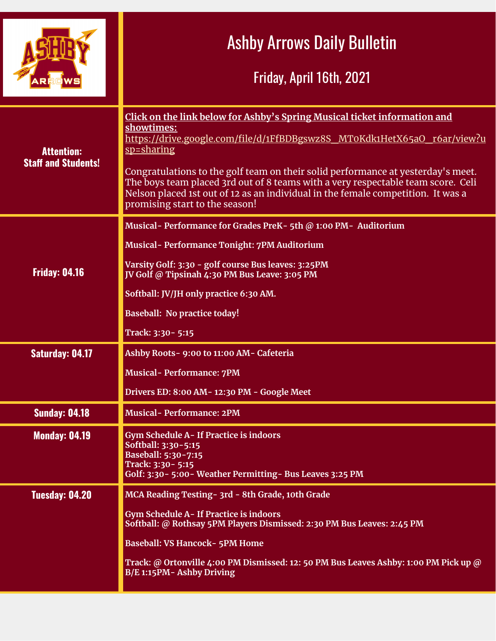|                                                 | <b>Ashby Arrows Daily Bulletin</b><br>Friday, April 16th, 2021                                                                                                                                                                                                                                                                                                                                                                                                                  |
|-------------------------------------------------|---------------------------------------------------------------------------------------------------------------------------------------------------------------------------------------------------------------------------------------------------------------------------------------------------------------------------------------------------------------------------------------------------------------------------------------------------------------------------------|
| <b>Attention:</b><br><b>Staff and Students!</b> | Click on the link below for Ashby's Spring Musical ticket information and<br>showtimes:<br>https://drive.google.com/file/d/1FfBDBgswz8S MT0Kdk1HetX65aO r6ar/view?u<br>sp=sharing<br>Congratulations to the golf team on their solid performance at yesterday's meet.<br>The boys team placed 3rd out of 8 teams with a very respectable team score. Celi<br>Nelson placed 1st out of 12 as an individual in the female competition. It was a<br>promising start to the season! |
| <b>Friday: 04.16</b>                            | Musical- Performance for Grades PreK- 5th @ 1:00 PM- Auditorium<br>Musical-Performance Tonight: 7PM Auditorium<br>Varsity Golf: 3:30 - golf course Bus leaves: 3:25PM<br>JV Golf @ Tipsinah 4:30 PM Bus Leave: 3:05 PM<br>Softball: JV/JH only practice 6:30 AM.<br><b>Baseball: No practice today!</b><br>Track: 3:30 - 5:15                                                                                                                                                   |
| <b>Saturday: 04.17</b>                          | Ashby Roots- 9:00 to 11:00 AM- Cafeteria<br><b>Musical-Performance: 7PM</b><br>Drivers ED: 8:00 AM-12:30 PM - Google Meet                                                                                                                                                                                                                                                                                                                                                       |
| <b>Sunday: 04.18</b>                            | <b>Musical-Performance: 2PM</b>                                                                                                                                                                                                                                                                                                                                                                                                                                                 |
| <b>Monday: 04.19</b>                            | <b>Gym Schedule A- If Practice is indoors</b><br>Softball: 3:30-5:15<br>Baseball: 5:30-7:15<br>Track: 3:30 - 5:15<br>Golf: 3:30 - 5:00 - Weather Permitting - Bus Leaves 3:25 PM                                                                                                                                                                                                                                                                                                |
| <b>Tuesday: 04.20</b>                           | MCA Reading Testing - 3rd - 8th Grade, 10th Grade<br>Gym Schedule A-If Practice is indoors<br>Softball: @ Rothsay 5PM Players Dismissed: 2:30 PM Bus Leaves: 2:45 PM<br><b>Baseball: VS Hancock- 5PM Home</b><br>Track: @ Ortonville 4:00 PM Dismissed: 12: 50 PM Bus Leaves Ashby: 1:00 PM Pick up @<br>B/E 1:15PM- Ashby Driving                                                                                                                                              |